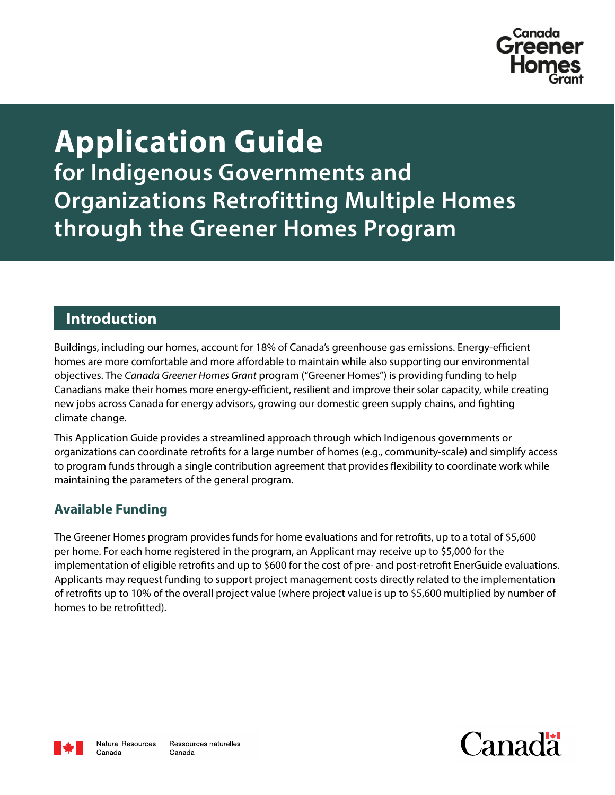

# **Application Guide for Indigenous Governments and Organizations Retrofitting Multiple Homes through the Greener Homes Program**

# **Introduction**

Buildings, including our homes, account for 18% of Canada's greenhouse gas emissions. Energy-efficient homes are more comfortable and more affordable to maintain while also supporting our environmental objectives. The *Canada Greener Homes Grant* program ("Greener Homes") is providing funding to help Canadians make their homes more energy-efficient, resilient and improve their solar capacity, while creating new jobs across Canada for energy advisors, growing our domestic green supply chains, and fighting climate change.

This Application Guide provides a streamlined approach through which Indigenous governments or organizations can coordinate retrofits for a large number of homes (e.g., community-scale) and simplify access to program funds through a single contribution agreement that provides flexibility to coordinate work while maintaining the parameters of the general program.

# **Available Funding**

The Greener Homes program provides funds for home evaluations and for retrofits, up to a total of \$5,600 per home. For each home registered in the program, an Applicant may receive up to \$5,000 for the implementation of eligible retrofits and up to \$600 for the cost of pre- and post-retrofit EnerGuide evaluations. Applicants may request funding to support project management costs directly related to the implementation of retrofits up to 10% of the overall project value (where project value is up to \$5,600 multiplied by number of homes to be retrofitted).



Canada

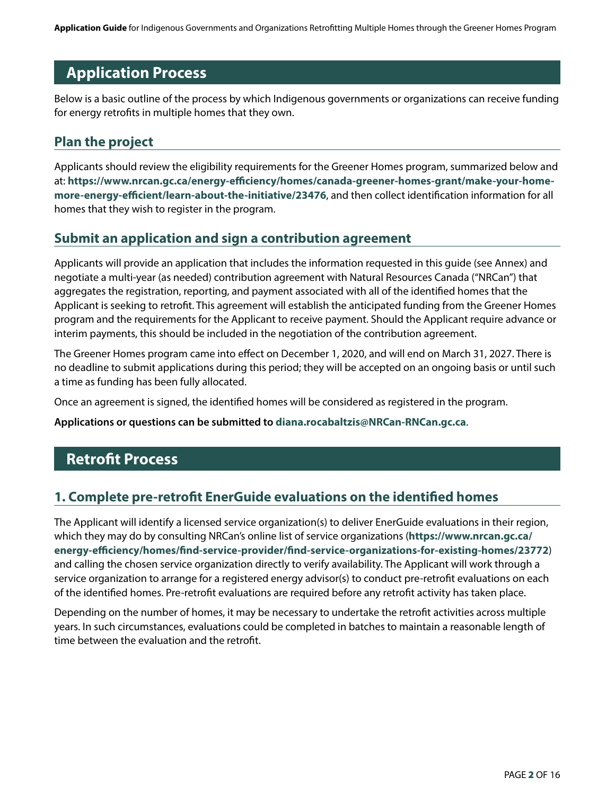**Application Guide** for Indigenous Governments and Organizations Retrofitting Multiple Homes through the Greener Homes Program

# **Application Process**

Below is a basic outline of the process by which Indigenous governments or organizations can receive funding for energy retrofits in multiple homes that they own.

# **Plan the project**

Applicants should review the eligibility requirements for the Greener Homes program, summarized below and at: **[https://www.nrcan.gc.ca/energy-efficiency/homes/canada-greener-homes-grant/make-your-home](https://www.nrcan.gc.ca/energy-efficiency/homes/canada-greener-homes-grant/make-your-home-more-energy-efficient/learn-about-the-initiative/23476)[more-energy-efficient/learn-about-the-initiative/23476](https://www.nrcan.gc.ca/energy-efficiency/homes/canada-greener-homes-grant/make-your-home-more-energy-efficient/learn-about-the-initiative/23476)**, and then collect identification information for all homes that they wish to register in the program.

### **Submit an application and sign a contribution agreement**

Applicants will provide an application that includes the information requested in this guide (see Annex) and negotiate a multi-year (as needed) contribution agreement with Natural Resources Canada ("NRCan") that aggregates the registration, reporting, and payment associated with all of the identified homes that the Applicant is seeking to retrofit. This agreement will establish the anticipated funding from the Greener Homes program and the requirements for the Applicant to receive payment. Should the Applicant require advance or interim payments, this should be included in the negotiation of the contribution agreement.

The Greener Homes program came into effect on December 1, 2020, and will end on March 31, 2027. There is no deadline to submit applications during this period; they will be accepted on an ongoing basis or until such a time as funding has been fully allocated.

Once an agreement is signed, the identified homes will be considered as registered in the program.

**Applications or questions can be submitted to [diana.rocabaltzis@NRCan-RNCan.gc.ca](mailto:diana.rocabaltzis@NRCan-RNCan.gc.ca)**.

# **Retrofit Process**

# **1. Complete pre-retrofit EnerGuide evaluations on the identified homes**

The Applicant will identify a licensed service organization(s) to deliver EnerGuide evaluations in their region, which they may do by consulting NRCan's online list of service organizations (**[https://www.nrcan.gc.ca/](https://www.nrcan.gc.ca/energy-efficiency/homes/find-service-provider/find-service-organizations-for-existing-homes/23772) [energy-efficiency/homes/find-service-provider/find-service-organizations-for-existing-homes/23772](https://www.nrcan.gc.ca/energy-efficiency/homes/find-service-provider/find-service-organizations-for-existing-homes/23772)**) and calling the chosen service organization directly to verify availability. The Applicant will work through a service organization to arrange for a registered energy advisor(s) to conduct pre-retrofit evaluations on each of the identified homes. Pre-retrofit evaluations are required before any retrofit activity has taken place.

Depending on the number of homes, it may be necessary to undertake the retrofit activities across multiple years. In such circumstances, evaluations could be completed in batches to maintain a reasonable length of time between the evaluation and the retrofit.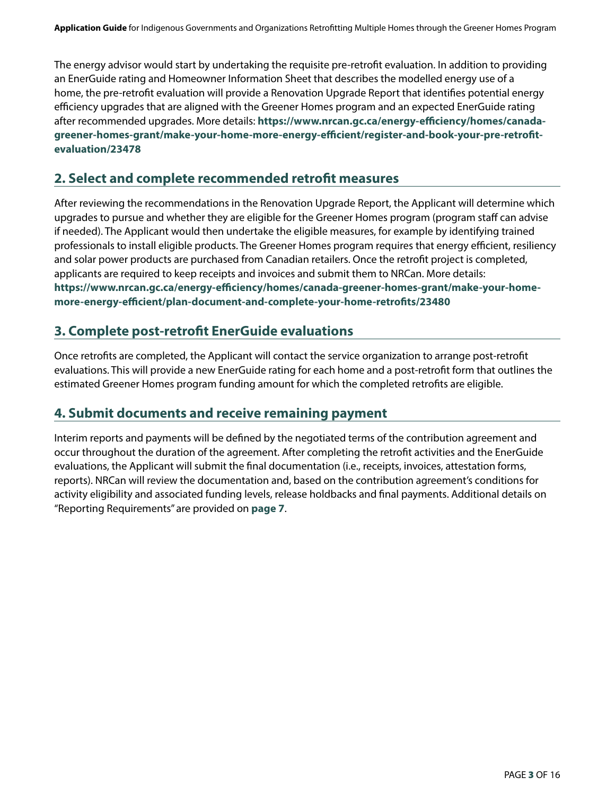The energy advisor would start by undertaking the requisite pre-retrofit evaluation. In addition to providing an EnerGuide rating and Homeowner Information Sheet that describes the modelled energy use of a home, the pre-retrofit evaluation will provide a Renovation Upgrade Report that identifies potential energy efficiency upgrades that are aligned with the Greener Homes program and an expected EnerGuide rating after recommended upgrades. More details: **[https://www.nrcan.gc.ca/energy-efficiency/homes/canada](https://www.nrcan.gc.ca/energy-efficiency/homes/canada-greener-homes-grant/make-your-home-more-energy-efficient/register-and-book-your-pre-retrofit-evaluation/23478)[greener-homes-grant/make-your-home-more-energy-efficient/register-and-book-your-pre-retrofit](https://www.nrcan.gc.ca/energy-efficiency/homes/canada-greener-homes-grant/make-your-home-more-energy-efficient/register-and-book-your-pre-retrofit-evaluation/23478)[evaluation/23478](https://www.nrcan.gc.ca/energy-efficiency/homes/canada-greener-homes-grant/make-your-home-more-energy-efficient/register-and-book-your-pre-retrofit-evaluation/23478)**

# **2. Select and complete recommended retrofit measures**

After reviewing the recommendations in the Renovation Upgrade Report, the Applicant will determine which upgrades to pursue and whether they are eligible for the Greener Homes program (program staff can advise if needed). The Applicant would then undertake the eligible measures, for example by identifying trained professionals to install eligible products. The Greener Homes program requires that energy efficient, resiliency and solar power products are purchased from Canadian retailers. Once the retrofit project is completed, applicants are required to keep receipts and invoices and submit them to NRCan. More details: **[https://www.nrcan.gc.ca/energy-efficiency/homes/canada-greener-homes-grant/make-your-home](https://www.nrcan.gc.ca/energy-efficiency/homes/canada-greener-homes-grant/make-your-home-more-energy-efficient/plan-document-and-complete-your-home-retrofits/23480)[more-energy-efficient/plan-document-and-complete-your-home-retrofits/23480](https://www.nrcan.gc.ca/energy-efficiency/homes/canada-greener-homes-grant/make-your-home-more-energy-efficient/plan-document-and-complete-your-home-retrofits/23480)**

# **3. Complete post-retrofit EnerGuide evaluations**

Once retrofits are completed, the Applicant will contact the service organization to arrange post-retrofit evaluations. This will provide a new EnerGuide rating for each home and a post-retrofit form that outlines the estimated Greener Homes program funding amount for which the completed retrofits are eligible.

# **4. Submit documents and receive remaining payment**

Interim reports and payments will be defined by the negotiated terms of the contribution agreement and occur throughout the duration of the agreement. After completing the retrofit activities and the EnerGuide evaluations, the Applicant will submit the final documentation (i.e., receipts, invoices, attestation forms, reports). NRCan will review the documentation and, based on the contribution agreement's conditions for activity eligibility and associated funding levels, release holdbacks and final payments. Additional details on "Reporting Requirements" are provided on **[page 7](#page-6-0)**.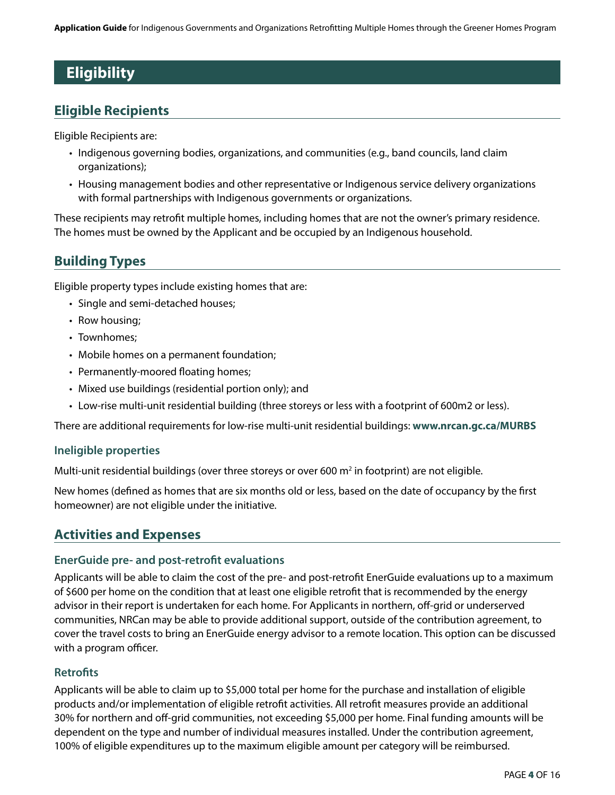# **Eligibility**

# **Eligible Recipients**

Eligible Recipients are:

- Indigenous governing bodies, organizations, and communities (e.g., band councils, land claim organizations);
- Housing management bodies and other representative or Indigenous service delivery organizations with formal partnerships with Indigenous governments or organizations.

These recipients may retrofit multiple homes, including homes that are not the owner's primary residence. The homes must be owned by the Applicant and be occupied by an Indigenous household.

# **Building Types**

Eligible property types include existing homes that are:

- Single and semi-detached houses;
- Row housing;
- Townhomes;
- Mobile homes on a permanent foundation;
- Permanently-moored floating homes;
- Mixed use buildings (residential portion only); and
- Low-rise multi-unit residential building (three storeys or less with a footprint of 600m2 or less).

There are additional requirements for low-rise multi-unit residential buildings: **[www.nrcan.gc.ca/MURBS](http://www.nrcan.gc.ca/MURBS)** 

#### **Ineligible properties**

Multi-unit residential buildings (over three storeys or over 600 m<sup>2</sup> in footprint) are not eligible.

New homes (defined as homes that are six months old or less, based on the date of occupancy by the first homeowner) are not eligible under the initiative.

# **Activities and Expenses**

#### **EnerGuide pre- and post-retrofit evaluations**

Applicants will be able to claim the cost of the pre- and post-retrofit EnerGuide evaluations up to a maximum of \$600 per home on the condition that at least one eligible retrofit that is recommended by the energy advisor in their report is undertaken for each home. For Applicants in northern, off-grid or underserved communities, NRCan may be able to provide additional support, outside of the contribution agreement, to cover the travel costs to bring an EnerGuide energy advisor to a remote location. This option can be discussed with a program officer.

#### **Retrofits**

Applicants will be able to claim up to \$5,000 total per home for the purchase and installation of eligible products and/or implementation of eligible retrofit activities. All retrofit measures provide an additional 30% for northern and off-grid communities, not exceeding \$5,000 per home. Final funding amounts will be dependent on the type and number of individual measures installed. Under the contribution agreement, 100% of eligible expenditures up to the maximum eligible amount per category will be reimbursed.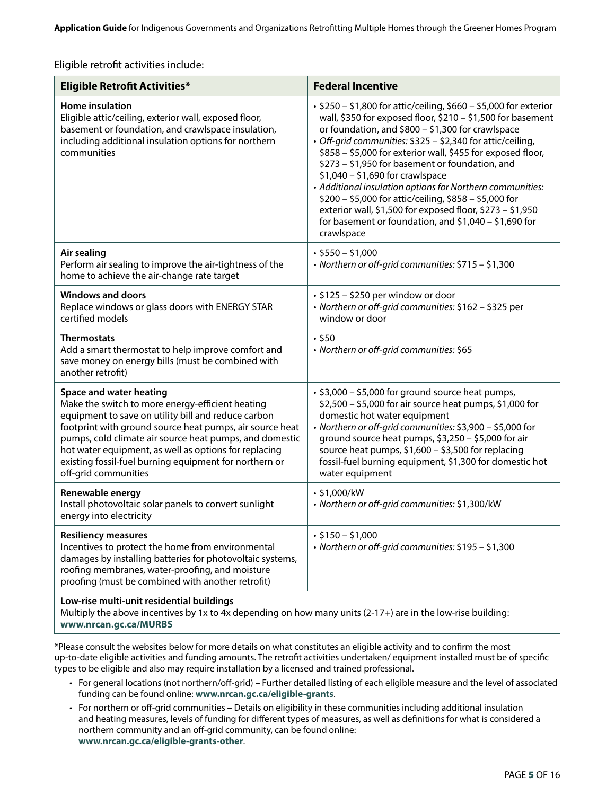<span id="page-4-0"></span>Eligible retrofit activities include:

| <b>Eligible Retrofit Activities*</b>                                                                                                                                                                                                                                                                                                                                                                 | <b>Federal Incentive</b>                                                                                                                                                                                                                                                                                                                                                                                                                                                                                                                                                                                                                                             |
|------------------------------------------------------------------------------------------------------------------------------------------------------------------------------------------------------------------------------------------------------------------------------------------------------------------------------------------------------------------------------------------------------|----------------------------------------------------------------------------------------------------------------------------------------------------------------------------------------------------------------------------------------------------------------------------------------------------------------------------------------------------------------------------------------------------------------------------------------------------------------------------------------------------------------------------------------------------------------------------------------------------------------------------------------------------------------------|
| Home insulation<br>Eligible attic/ceiling, exterior wall, exposed floor,<br>basement or foundation, and crawlspace insulation,<br>including additional insulation options for northern<br>communities                                                                                                                                                                                                | • \$250 - \$1,800 for attic/ceiling, \$660 - \$5,000 for exterior<br>wall, \$350 for exposed floor, \$210 - \$1,500 for basement<br>or foundation, and \$800 - \$1,300 for crawlspace<br>· Off-grid communities: \$325 - \$2,340 for attic/ceiling,<br>\$858 - \$5,000 for exterior wall, \$455 for exposed floor,<br>\$273 - \$1,950 for basement or foundation, and<br>$$1,040 - $1,690$ for crawlspace<br>• Additional insulation options for Northern communities:<br>\$200 - \$5,000 for attic/ceiling, \$858 - \$5,000 for<br>exterior wall, \$1,500 for exposed floor, \$273 - \$1,950<br>for basement or foundation, and $$1,040 - $1,690$ for<br>crawlspace |
| Air sealing<br>Perform air sealing to improve the air-tightness of the<br>home to achieve the air-change rate target                                                                                                                                                                                                                                                                                 | $\cdot$ \$550 - \$1,000<br>· Northern or off-grid communities: \$715 - \$1,300                                                                                                                                                                                                                                                                                                                                                                                                                                                                                                                                                                                       |
| <b>Windows and doors</b><br>Replace windows or glass doors with ENERGY STAR<br>certified models                                                                                                                                                                                                                                                                                                      | $\cdot$ \$125 - \$250 per window or door<br>· Northern or off-grid communities: \$162 - \$325 per<br>window or door                                                                                                                                                                                                                                                                                                                                                                                                                                                                                                                                                  |
| <b>Thermostats</b><br>Add a smart thermostat to help improve comfort and<br>save money on energy bills (must be combined with<br>another retrofit)                                                                                                                                                                                                                                                   | .550<br>· Northern or off-grid communities: \$65                                                                                                                                                                                                                                                                                                                                                                                                                                                                                                                                                                                                                     |
| Space and water heating<br>Make the switch to more energy-efficient heating<br>equipment to save on utility bill and reduce carbon<br>footprint with ground source heat pumps, air source heat<br>pumps, cold climate air source heat pumps, and domestic<br>hot water equipment, as well as options for replacing<br>existing fossil-fuel burning equipment for northern or<br>off-grid communities | • \$3,000 - \$5,000 for ground source heat pumps,<br>\$2,500 - \$5,000 for air source heat pumps, \$1,000 for<br>domestic hot water equipment<br>• Northern or off-grid communities: \$3,900 - \$5,000 for<br>ground source heat pumps, \$3,250 - \$5,000 for air<br>source heat pumps, \$1,600 - \$3,500 for replacing<br>fossil-fuel burning equipment, \$1,300 for domestic hot<br>water equipment                                                                                                                                                                                                                                                                |
| Renewable energy<br>Install photovoltaic solar panels to convert sunlight<br>energy into electricity                                                                                                                                                                                                                                                                                                 | $\cdot$ \$1,000/kW<br>· Northern or off-grid communities: \$1,300/kW                                                                                                                                                                                                                                                                                                                                                                                                                                                                                                                                                                                                 |
| <b>Resiliency measures</b><br>Incentives to protect the home from environmental<br>damages by installing batteries for photovoltaic systems,<br>roofing membranes, water-proofing, and moisture<br>proofing (must be combined with another retrofit)                                                                                                                                                 | $\cdot$ \$150 - \$1,000<br>• Northern or off-grid communities: \$195 - \$1,300                                                                                                                                                                                                                                                                                                                                                                                                                                                                                                                                                                                       |
| Low-rise multi-unit residential buildings<br>Multiply the above incentives by 1x to 4x depending on how many units $(2-17+)$ are in the low-rise building:<br>www.nrcan.gc.ca/MURBS                                                                                                                                                                                                                  |                                                                                                                                                                                                                                                                                                                                                                                                                                                                                                                                                                                                                                                                      |

\*Please consult the websites below for more details on what constitutes an eligible activity and to confirm the most up-to-date eligible activities and funding amounts. The retrofit activities undertaken/ equipment installed must be of specific types to be eligible and also may require installation by a licensed and trained professional.

- For general locations (not northern/off-grid) Further detailed listing of each eligible measure and the level of associated funding can be found online: **[www.nrcan.gc.ca/eligible-grants](http://www.nrcan.gc.ca/eligible-grants)**.
- For northern or off-grid communities Details on eligibility in these communities including additional insulation and heating measures, levels of funding for different types of measures, as well as definitions for what is considered a northern community and an off-grid community, can be found online: **[www.nrcan.gc.ca/eligible-grants-other](http://www.nrcan.gc.ca/eligible-grants-other)**.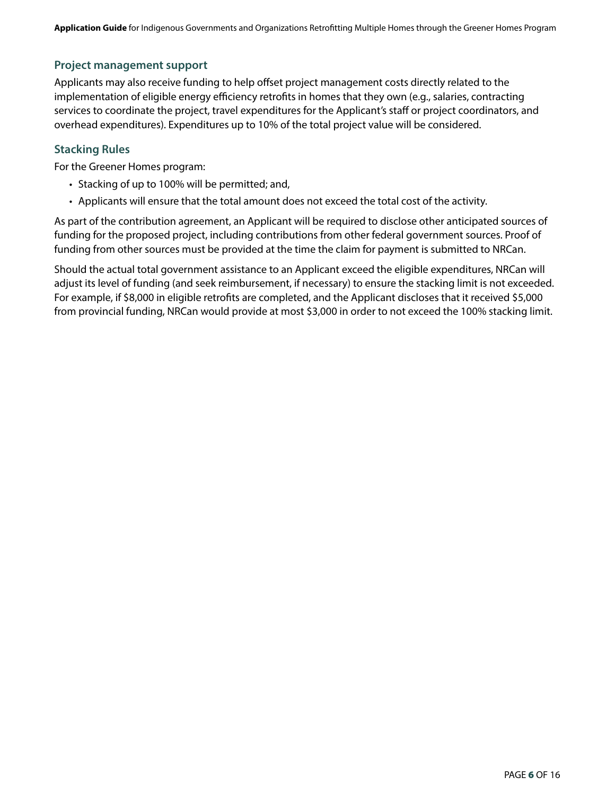#### **Project management support**

Applicants may also receive funding to help offset project management costs directly related to the implementation of eligible energy efficiency retrofits in homes that they own (e.g., salaries, contracting services to coordinate the project, travel expenditures for the Applicant's staff or project coordinators, and overhead expenditures). Expenditures up to 10% of the total project value will be considered.

#### **Stacking Rules**

For the Greener Homes program:

- Stacking of up to 100% will be permitted; and,
- Applicants will ensure that the total amount does not exceed the total cost of the activity.

As part of the contribution agreement, an Applicant will be required to disclose other anticipated sources of funding for the proposed project, including contributions from other federal government sources. Proof of funding from other sources must be provided at the time the claim for payment is submitted to NRCan.

Should the actual total government assistance to an Applicant exceed the eligible expenditures, NRCan will adjust its level of funding (and seek reimbursement, if necessary) to ensure the stacking limit is not exceeded. For example, if \$8,000 in eligible retrofits are completed, and the Applicant discloses that it received \$5,000 from provincial funding, NRCan would provide at most \$3,000 in order to not exceed the 100% stacking limit.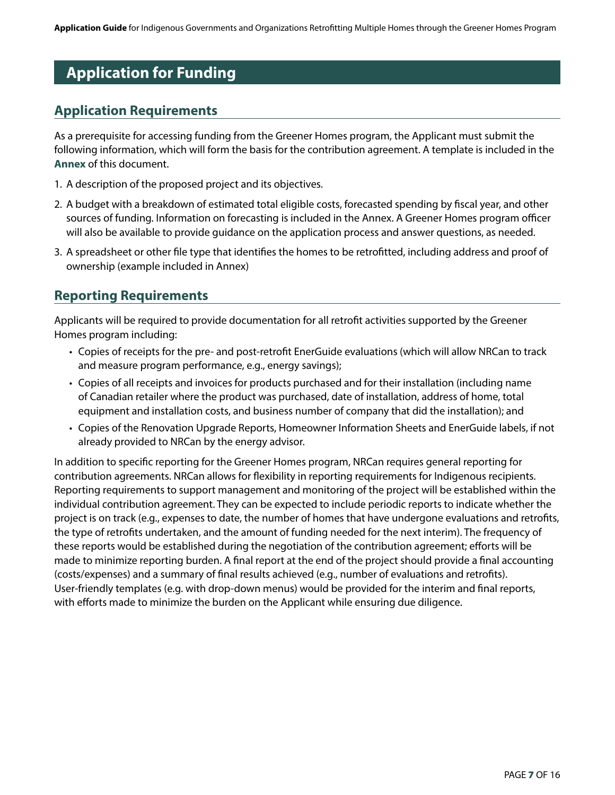# **Application for Funding**

# **Application Requirements**

As a prerequisite for accessing funding from the Greener Homes program, the Applicant must submit the following information, which will form the basis for the contribution agreement. A template is included in the **[Annex](#page-7-0)** of this document.

- 1. A description of the proposed project and its objectives.
- 2. A budget with a breakdown of estimated total eligible costs, forecasted spending by fiscal year, and other sources of funding. Information on forecasting is included in the Annex. A Greener Homes program officer will also be available to provide guidance on the application process and answer questions, as needed.
- 3. A spreadsheet or other file type that identifies the homes to be retrofitted, including address and proof of ownership (example included in Annex)

# <span id="page-6-0"></span>**Reporting Requirements**

Applicants will be required to provide documentation for all retrofit activities supported by the Greener Homes program including:

- Copies of receipts for the pre- and post-retrofit EnerGuide evaluations (which will allow NRCan to track and measure program performance, e.g., energy savings);
- Copies of all receipts and invoices for products purchased and for their installation (including name of Canadian retailer where the product was purchased, date of installation, address of home, total equipment and installation costs, and business number of company that did the installation); and
- Copies of the Renovation Upgrade Reports, Homeowner Information Sheets and EnerGuide labels, if not already provided to NRCan by the energy advisor.

In addition to specific reporting for the Greener Homes program, NRCan requires general reporting for contribution agreements. NRCan allows for flexibility in reporting requirements for Indigenous recipients. Reporting requirements to support management and monitoring of the project will be established within the individual contribution agreement. They can be expected to include periodic reports to indicate whether the project is on track (e.g., expenses to date, the number of homes that have undergone evaluations and retrofits, the type of retrofits undertaken, and the amount of funding needed for the next interim). The frequency of these reports would be established during the negotiation of the contribution agreement; efforts will be made to minimize reporting burden. A final report at the end of the project should provide a final accounting (costs/expenses) and a summary of final results achieved (e.g., number of evaluations and retrofits). User-friendly templates (e.g. with drop-down menus) would be provided for the interim and final reports, with efforts made to minimize the burden on the Applicant while ensuring due diligence.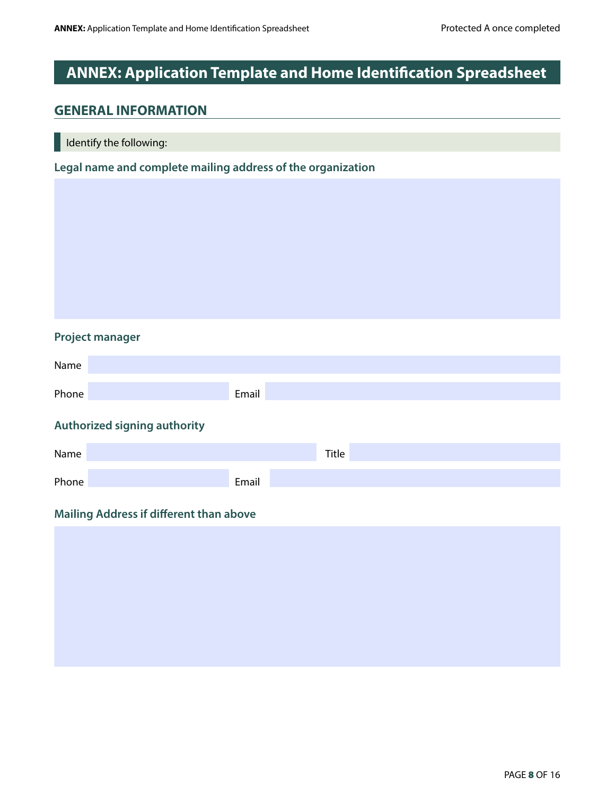# <span id="page-7-0"></span>**ANNEX: Application Template and Home Identification Spreadsheet**

### **GENERAL INFORMATION**

I Identify the following:

**Legal name and complete mailing address of the organization**

#### **Project manager**

| Name  |                                         |       |       |  |
|-------|-----------------------------------------|-------|-------|--|
| Phone |                                         | Email |       |  |
|       | Authorized signing authority            |       |       |  |
| Name  |                                         |       | Title |  |
| Phone |                                         | Email |       |  |
|       | Mailing Address if different than above |       |       |  |
|       |                                         |       |       |  |
|       |                                         |       |       |  |
|       |                                         |       |       |  |
|       |                                         |       |       |  |
|       |                                         |       |       |  |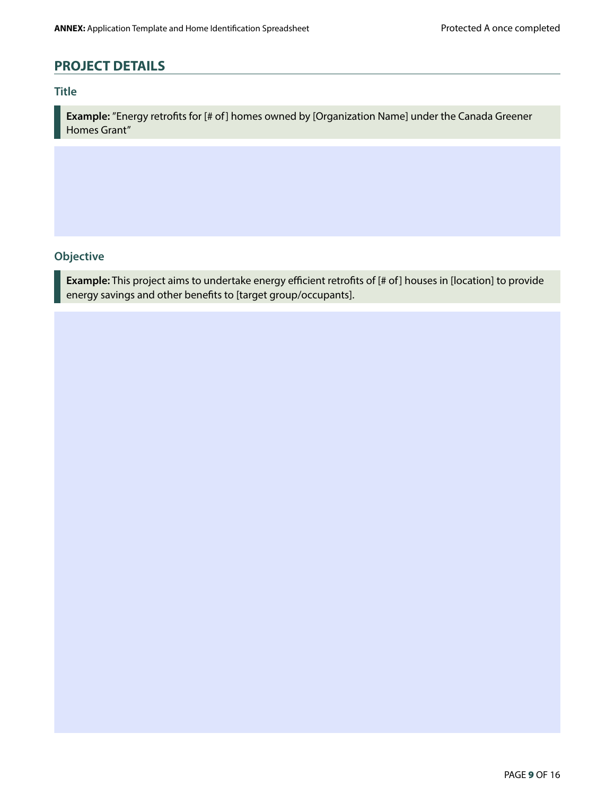# **PROJECT DETAILS**

#### **Title**

**Example:** "Energy retrofits for [# of] homes owned by [Organization Name] under the Canada Greener Homes Grant"

#### **Objective**

**Example:** This project aims to undertake energy efficient retrofits of [# of] houses in [location] to provide energy savings and other benefits to [target group/occupants].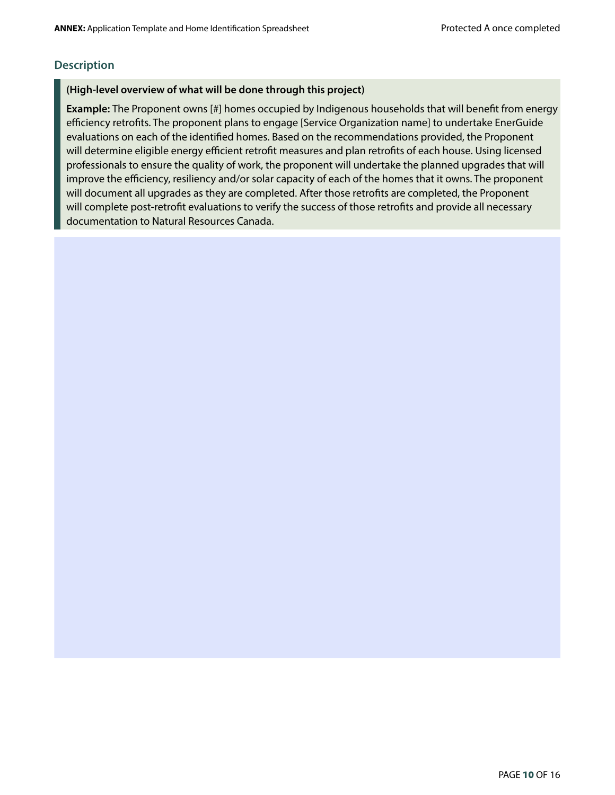#### **Description**

#### **(High-level overview of what will be done through this project)**

**Example:** The Proponent owns [#] homes occupied by Indigenous households that will benefit from energy efficiency retrofits. The proponent plans to engage [Service Organization name] to undertake EnerGuide evaluations on each of the identified homes. Based on the recommendations provided, the Proponent will determine eligible energy efficient retrofit measures and plan retrofits of each house. Using licensed professionals to ensure the quality of work, the proponent will undertake the planned upgrades that will improve the efficiency, resiliency and/or solar capacity of each of the homes that it owns. The proponent will document all upgrades as they are completed. After those retrofits are completed, the Proponent will complete post-retrofit evaluations to verify the success of those retrofits and provide all necessary documentation to Natural Resources Canada.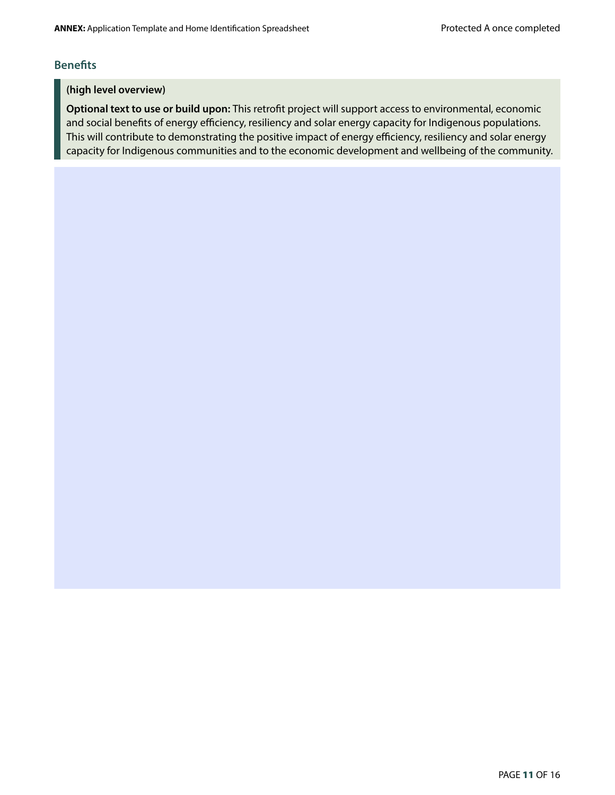#### **Benefits**

#### **(high level overview)**

**Optional text to use or build upon:** This retrofit project will support access to environmental, economic and social benefits of energy efficiency, resiliency and solar energy capacity for Indigenous populations. This will contribute to demonstrating the positive impact of energy efficiency, resiliency and solar energy capacity for Indigenous communities and to the economic development and wellbeing of the community.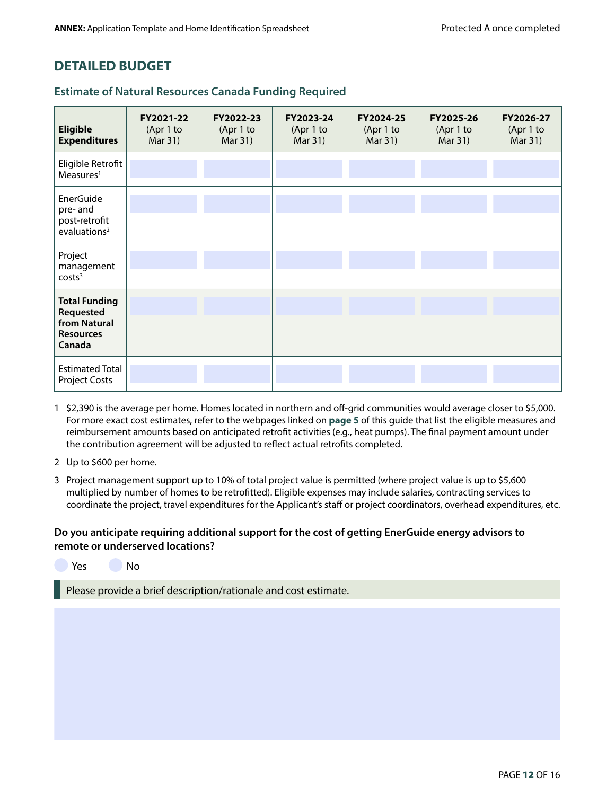# **DETAILED BUDGET**

| <b>Eligible</b><br><b>Expenditures</b>                                          | FY2021-22<br>(Apr 1 to<br>Mar 31) | FY2022-23<br>(Apr 1 to<br>Mar 31) | FY2023-24<br>(Apr 1 to<br>Mar 31) | FY2024-25<br>(Apr 1 to<br>Mar 31) | FY2025-26<br>(Apr 1 to<br>Mar 31) | FY2026-27<br>(Apr 1 to<br>Mar 31) |
|---------------------------------------------------------------------------------|-----------------------------------|-----------------------------------|-----------------------------------|-----------------------------------|-----------------------------------|-----------------------------------|
| Eligible Retrofit<br>Measures <sup>1</sup>                                      |                                   |                                   |                                   |                                   |                                   |                                   |
| EnerGuide<br>pre-and<br>post-retrofit<br>evaluations <sup>2</sup>               |                                   |                                   |                                   |                                   |                                   |                                   |
| Project<br>management<br>costs <sup>3</sup>                                     |                                   |                                   |                                   |                                   |                                   |                                   |
| <b>Total Funding</b><br>Requested<br>from Natural<br><b>Resources</b><br>Canada |                                   |                                   |                                   |                                   |                                   |                                   |
| <b>Estimated Total</b><br><b>Project Costs</b>                                  |                                   |                                   |                                   |                                   |                                   |                                   |

#### **Estimate of Natural Resources Canada Funding Required**

1 \$2,390 is the average per home. Homes located in northern and off-grid communities would average closer to \$5,000. For more exact cost estimates, refer to the webpages linked on **[page 5](#page-4-0)** of this guide that list the eligible measures and reimbursement amounts based on anticipated retrofit activities (e.g., heat pumps). The final payment amount under the contribution agreement will be adjusted to reflect actual retrofits completed.

2 Up to \$600 per home.

3 Project management support up to 10% of total project value is permitted (where project value is up to \$5,600 multiplied by number of homes to be retrofitted). Eligible expenses may include salaries, contracting services to coordinate the project, travel expenditures for the Applicant's staff or project coordinators, overhead expenditures, etc.

#### **Do you anticipate requiring additional support for the cost of getting EnerGuide energy advisors to remote or underserved locations?**

Yes No

Please provide a brief description/rationale and cost estimate.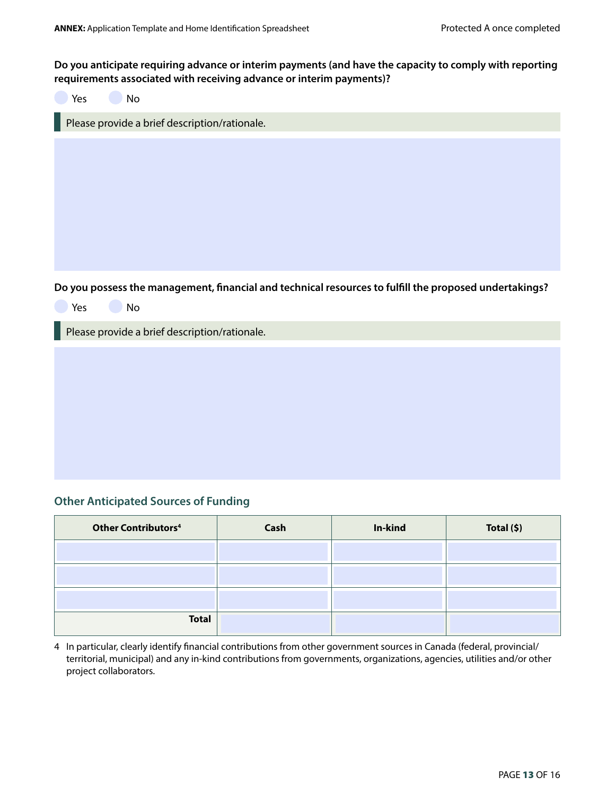#### **Do you anticipate requiring advance or interim payments (and have the capacity to comply with reporting requirements associated with receiving advance or interim payments)?**

| No<br>Yes                                                                                                           |
|---------------------------------------------------------------------------------------------------------------------|
| Please provide a brief description/rationale.                                                                       |
|                                                                                                                     |
| Do you possess the management, financial and technical resources to fulfill the proposed undertakings?<br>No<br>Yes |
| Please provide a brief description/rationale.                                                                       |
|                                                                                                                     |

#### **Other Anticipated Sources of Funding**

| <b>Other Contributors4</b> | Cash | In-kind | Total (\$) |
|----------------------------|------|---------|------------|
|                            |      |         |            |
|                            |      |         |            |
|                            |      |         |            |
| <b>Total</b>               |      |         |            |

4 In particular, clearly identify financial contributions from other government sources in Canada (federal, provincial/ territorial, municipal) and any in-kind contributions from governments, organizations, agencies, utilities and/or other project collaborators.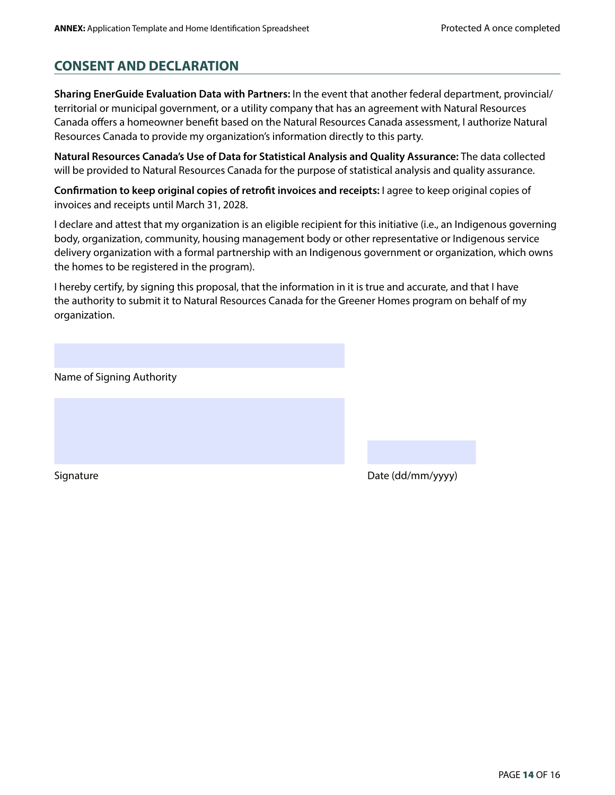# **CONSENT AND DECLARATION**

**Sharing EnerGuide Evaluation Data with Partners:** In the event that another federal department, provincial/ territorial or municipal government, or a utility company that has an agreement with Natural Resources Canada offers a homeowner benefit based on the Natural Resources Canada assessment, I authorize Natural Resources Canada to provide my organization's information directly to this party.

**Natural Resources Canada's Use of Data for Statistical Analysis and Quality Assurance:** The data collected will be provided to Natural Resources Canada for the purpose of statistical analysis and quality assurance.

**Confirmation to keep original copies of retrofit invoices and receipts:** I agree to keep original copies of invoices and receipts until March 31, 2028.

I declare and attest that my organization is an eligible recipient for this initiative (i.e., an Indigenous governing body, organization, community, housing management body or other representative or Indigenous service delivery organization with a formal partnership with an Indigenous government or organization, which owns the homes to be registered in the program).

I hereby certify, by signing this proposal, that the information in it is true and accurate, and that I have the authority to submit it to Natural Resources Canada for the Greener Homes program on behalf of my organization.

Name of Signing Authority

Signature **Date (dd/mm/yyyy)**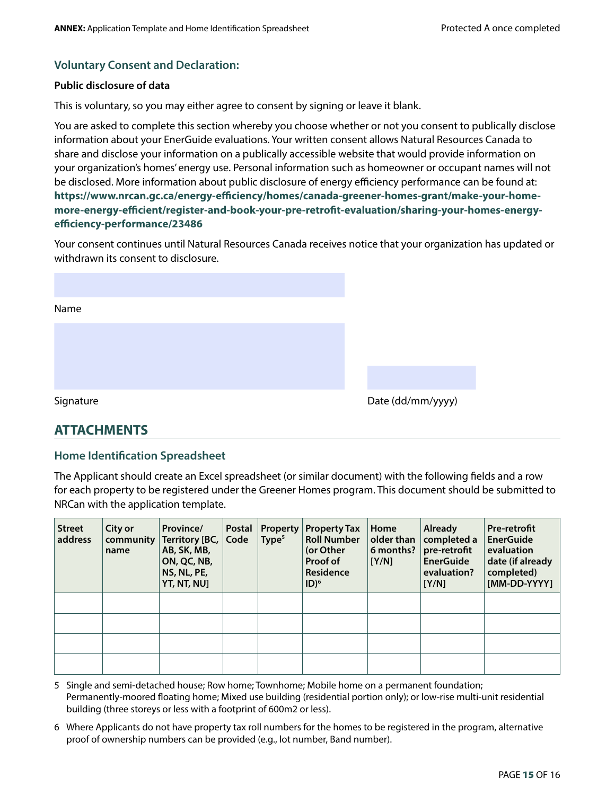#### **Voluntary Consent and Declaration:**

#### **Public disclosure of data**

This is voluntary, so you may either agree to consent by signing or leave it blank.

You are asked to complete this section whereby you choose whether or not you consent to publically disclose information about your EnerGuide evaluations. Your written consent allows Natural Resources Canada to share and disclose your information on a publically accessible website that would provide information on your organization's homes' energy use. Personal information such as homeowner or occupant names will not be disclosed. More information about public disclosure of energy efficiency performance can be found at: **[https://www.nrcan.gc.ca/energy-efficiency/homes/canada-greener-homes-grant/make-your-home](https://www.nrcan.gc.ca/energy-efficiency/homes/canada-greener-homes-grant/make-your-home-more-energy-efficient/register-and-book-your-pre-retrofit-evaluation/sharing-your-homes-energy-efficiency-performance/23486)[more-energy-efficient/register-and-book-your-pre-retrofit-evaluation/sharing-your-homes-energy](https://www.nrcan.gc.ca/energy-efficiency/homes/canada-greener-homes-grant/make-your-home-more-energy-efficient/register-and-book-your-pre-retrofit-evaluation/sharing-your-homes-energy-efficiency-performance/23486)[efficiency-performance/23486](https://www.nrcan.gc.ca/energy-efficiency/homes/canada-greener-homes-grant/make-your-home-more-energy-efficient/register-and-book-your-pre-retrofit-evaluation/sharing-your-homes-energy-efficiency-performance/23486)**

Your consent continues until Natural Resources Canada receives notice that your organization has updated or withdrawn its consent to disclosure.

| Name      |  |  |                   |  |
|-----------|--|--|-------------------|--|
|           |  |  |                   |  |
|           |  |  |                   |  |
|           |  |  |                   |  |
| Signature |  |  | Date (dd/mm/yyyy) |  |

# **ATTACHMENTS**

#### **Home Identification Spreadsheet**

The Applicant should create an Excel spreadsheet (or similar document) with the following fields and a row for each property to be registered under the Greener Homes program. This document should be submitted to NRCan with the application template.

| <b>Street</b><br>address | City or<br>community<br>name | Province/<br>Territory [BC, Code<br>AB, SK, MB,<br>ON, QC, NB,<br>NS, NL, PE,<br>YT, NT, NU] | <b>Postal</b> | <b>Property</b><br>Type <sup>5</sup> | <b>Property Tax</b><br><b>Roll Number</b><br>(or Other<br>Proof of<br>Residence<br>$ID)^6$ | Home<br>older than<br>6 months?<br>[Y/N] | <b>Already</b><br>completed a<br>pre-retrofit<br><b>EnerGuide</b><br>evaluation?<br>[Y/N] | <b>Pre-retrofit</b><br><b>EnerGuide</b><br>evaluation<br>date (if already<br>completed)<br>[MM-DD-YYYY] |
|--------------------------|------------------------------|----------------------------------------------------------------------------------------------|---------------|--------------------------------------|--------------------------------------------------------------------------------------------|------------------------------------------|-------------------------------------------------------------------------------------------|---------------------------------------------------------------------------------------------------------|
|                          |                              |                                                                                              |               |                                      |                                                                                            |                                          |                                                                                           |                                                                                                         |
|                          |                              |                                                                                              |               |                                      |                                                                                            |                                          |                                                                                           |                                                                                                         |
|                          |                              |                                                                                              |               |                                      |                                                                                            |                                          |                                                                                           |                                                                                                         |
|                          |                              |                                                                                              |               |                                      |                                                                                            |                                          |                                                                                           |                                                                                                         |

5 Single and semi-detached house; Row home; Townhome; Mobile home on a permanent foundation; Permanently-moored floating home; Mixed use building (residential portion only); or low-rise multi-unit residential building (three storeys or less with a footprint of 600m2 or less).

6 Where Applicants do not have property tax roll numbers for the homes to be registered in the program, alternative proof of ownership numbers can be provided (e.g., lot number, Band number).